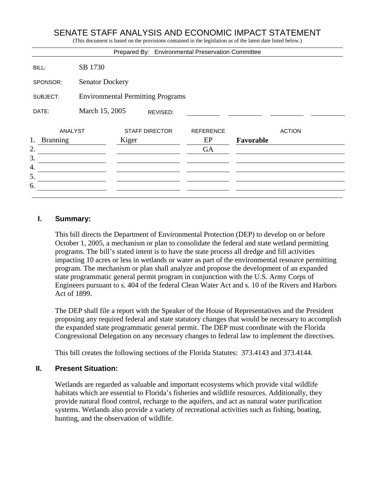# SENATE STAFF ANALYSIS AND ECONOMIC IMPACT STATEMENT

(This document is based on the provisions contained in the legislation as of the latest date listed below.)

|                       |                                          |                       |          | Prepared By: Environmental Preservation Committee |           |               |  |
|-----------------------|------------------------------------------|-----------------------|----------|---------------------------------------------------|-----------|---------------|--|
| BILL:                 | SB 1730                                  |                       |          |                                                   |           |               |  |
| SPONSOR:              | <b>Senator Dockery</b>                   |                       |          |                                                   |           |               |  |
| SUBJECT:              | <b>Environmental Permitting Programs</b> |                       |          |                                                   |           |               |  |
| DATE:                 | March 15, 2005                           |                       | REVISED: |                                                   |           |               |  |
| <b>ANALYST</b>        |                                          | <b>STAFF DIRECTOR</b> |          | <b>REFERENCE</b>                                  |           | <b>ACTION</b> |  |
| 1.<br><b>Branning</b> |                                          | Kiger                 |          | EP                                                | Favorable |               |  |
| 2.                    |                                          |                       |          | <b>GA</b>                                         |           |               |  |
| 3.                    |                                          |                       |          |                                                   |           |               |  |
| 4.                    |                                          |                       |          |                                                   |           |               |  |
| 5.                    |                                          |                       |          |                                                   |           |               |  |
| 6.                    |                                          |                       |          |                                                   |           |               |  |
|                       |                                          |                       |          |                                                   |           |               |  |

#### **I. Summary:**

This bill directs the Department of Environmental Protection (DEP) to develop on or before October 1, 2005, a mechanism or plan to consolidate the federal and state wetland permitting programs. The bill's stated intent is to have the state process all dredge and fill activities impacting 10 acres or less in wetlands or water as part of the environmental resource permitting program. The mechanism or plan shall analyze and propose the development of an expanded state programmatic general permit program in conjunction with the U.S. Army Corps of Engineers pursuant to s. 404 of the federal Clean Water Act and s. 10 of the Rivers and Harbors Act of 1899.

The DEP shall file a report with the Speaker of the House of Representatives and the President proposing any required federal and state statutory changes that would be necessary to accomplish the expanded state programmatic general permit. The DEP must coordinate with the Florida Congressional Delegation on any necessary changes to federal law to implement the directives.

This bill creates the following sections of the Florida Statutes: 373.4143 and 373.4144.

#### **II. Present Situation:**

Wetlands are regarded as valuable and important ecosystems which provide vital wildlife habitats which are essential to Florida's fisheries and wildlife resources. Additionally, they provide natural flood control, recharge to the aquifers, and act as natural water purification systems. Wetlands also provide a variety of recreational activities such as fishing, boating, hunting, and the observation of wildlife.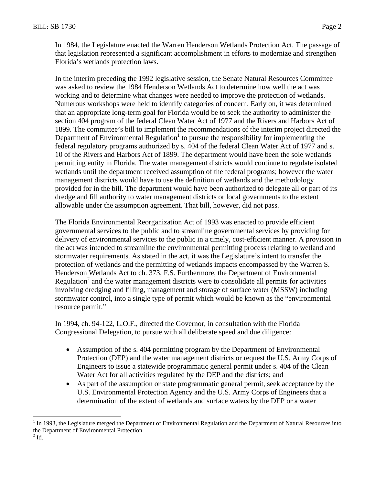In 1984, the Legislature enacted the Warren Henderson Wetlands Protection Act. The passage of that legislation represented a significant accomplishment in efforts to modernize and strengthen Florida's wetlands protection laws.

In the interim preceding the 1992 legislative session, the Senate Natural Resources Committee was asked to review the 1984 Henderson Wetlands Act to determine how well the act was working and to determine what changes were needed to improve the protection of wetlands. Numerous workshops were held to identify categories of concern. Early on, it was determined that an appropriate long-term goal for Florida would be to seek the authority to administer the section 404 program of the federal Clean Water Act of 1977 and the Rivers and Harbors Act of 1899. The committee's bill to implement the recommendations of the interim project directed the Department of Environmental Regulation<sup>1</sup> to pursue the responsibility for implementing the federal regulatory programs authorized by s. 404 of the federal Clean Water Act of 1977 and s. 10 of the Rivers and Harbors Act of 1899. The department would have been the sole wetlands permitting entity in Florida. The water management districts would continue to regulate isolated wetlands until the department received assumption of the federal programs; however the water management districts would have to use the definition of wetlands and the methodology provided for in the bill. The department would have been authorized to delegate all or part of its dredge and fill authority to water management districts or local governments to the extent allowable under the assumption agreement. That bill, however, did not pass.

The Florida Environmental Reorganization Act of 1993 was enacted to provide efficient governmental services to the public and to streamline governmental services by providing for delivery of environmental services to the public in a timely, cost-efficient manner. A provision in the act was intended to streamline the environmental permitting process relating to wetland and stormwater requirements. As stated in the act, it was the Legislature's intent to transfer the protection of wetlands and the permitting of wetlands impacts encompassed by the Warren S. Henderson Wetlands Act to ch. 373, F.S. Furthermore, the Department of Environmental Regulation<sup>2</sup> and the water management districts were to consolidate all permits for activities involving dredging and filling, management and storage of surface water (MSSW) including stormwater control, into a single type of permit which would be known as the "environmental resource permit."

In 1994, ch. 94-122, L.O.F., directed the Governor, in consultation with the Florida Congressional Delegation, to pursue with all deliberate speed and due diligence:

- Assumption of the s. 404 permitting program by the Department of Environmental Protection (DEP) and the water management districts or request the U.S. Army Corps of Engineers to issue a statewide programmatic general permit under s. 404 of the Clean Water Act for all activities regulated by the DEP and the districts; and
- As part of the assumption or state programmatic general permit, seek acceptance by the U.S. Environmental Protection Agency and the U.S. Army Corps of Engineers that a determination of the extent of wetlands and surface waters by the DEP or a water

1

 $1$  In 1993, the Legislature merged the Department of Environmental Regulation and the Department of Natural Resources into the Department of Environmental Protection.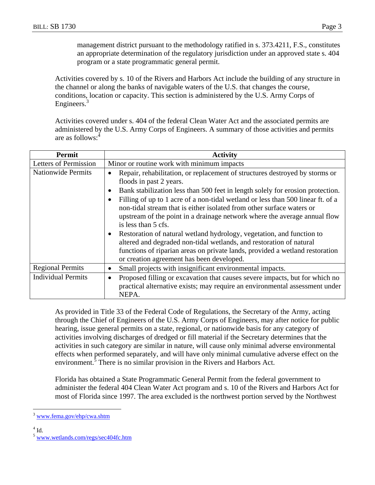management district pursuant to the methodology ratified in s. 373.4211, F.S., constitutes an appropriate determination of the regulatory jurisdiction under an approved state s. 404 program or a state programmatic general permit.

Activities covered by s. 10 of the Rivers and Harbors Act include the building of any structure in the channel or along the banks of navigable waters of the U.S. that changes the course, conditions, location or capacity. This section is administered by the U.S. Army Corps of Engineers.<sup>3</sup>

Activities covered under s. 404 of the federal Clean Water Act and the associated permits are administered by the U.S. Army Corps of Engineers. A summary of those activities and permits are as follows:<sup>4</sup>

| Permit                    | <b>Activity</b>                                                                                                                                                                                                                                                                                                                                                                                                                                                                                                                                                                                                                                                                                                                       |  |  |  |  |
|---------------------------|---------------------------------------------------------------------------------------------------------------------------------------------------------------------------------------------------------------------------------------------------------------------------------------------------------------------------------------------------------------------------------------------------------------------------------------------------------------------------------------------------------------------------------------------------------------------------------------------------------------------------------------------------------------------------------------------------------------------------------------|--|--|--|--|
| Letters of Permission     | Minor or routine work with minimum impacts                                                                                                                                                                                                                                                                                                                                                                                                                                                                                                                                                                                                                                                                                            |  |  |  |  |
| <b>Nationwide Permits</b> | Repair, rehabilitation, or replacement of structures destroyed by storms or<br>floods in past 2 years.<br>Bank stabilization less than 500 feet in length solely for erosion protection.<br>Filling of up to 1 acre of a non-tidal wetland or less than 500 linear ft. of a<br>non-tidal stream that is either isolated from other surface waters or<br>upstream of the point in a drainage network where the average annual flow<br>is less than 5 cfs.<br>Restoration of natural wetland hydrology, vegetation, and function to<br>altered and degraded non-tidal wetlands, and restoration of natural<br>functions of riparian areas on private lands, provided a wetland restoration<br>or creation agreement has been developed. |  |  |  |  |
| <b>Regional Permits</b>   | Small projects with insignificant environmental impacts.<br>$\bullet$                                                                                                                                                                                                                                                                                                                                                                                                                                                                                                                                                                                                                                                                 |  |  |  |  |
| <b>Individual Permits</b> | Proposed filling or excavation that causes severe impacts, but for which no<br>$\bullet$<br>practical alternative exists; may require an environmental assessment under<br>NEPA.                                                                                                                                                                                                                                                                                                                                                                                                                                                                                                                                                      |  |  |  |  |

As provided in Title 33 of the Federal Code of Regulations, the Secretary of the Army, acting through the Chief of Engineers of the U.S. Army Corps of Engineers, may after notice for public hearing, issue general permits on a state, regional, or nationwide basis for any category of activities involving discharges of dredged or fill material if the Secretary determines that the activities in such category are similar in nature, will cause only minimal adverse environmental effects when performed separately, and will have only minimal cumulative adverse effect on the environment.<sup>5</sup> There is no similar provision in the Rivers and Harbors Act.

Florida has obtained a State Programmatic General Permit from the federal government to administer the federal 404 Clean Water Act program and s. 10 of the Rivers and Harbors Act for most of Florida since 1997. The area excluded is the northwest portion served by the Northwest

 $4$  Id.

 $\overline{a}$ 

<sup>3</sup> www.fema.gov/ehp/cwa.shtm

<sup>5</sup> www.wetlands.com/regs/sec404fc.htm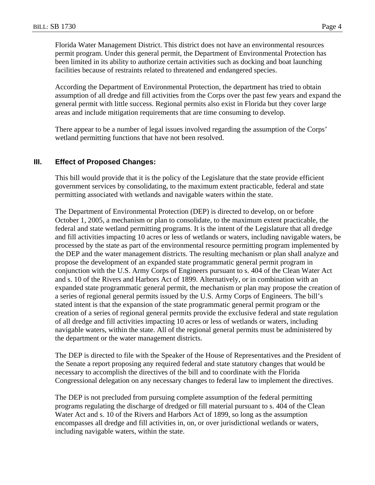Florida Water Management District. This district does not have an environmental resources permit program. Under this general permit, the Department of Environmental Protection has been limited in its ability to authorize certain activities such as docking and boat launching facilities because of restraints related to threatened and endangered species.

According the Department of Environmental Protection, the department has tried to obtain assumption of all dredge and fill activities from the Corps over the past few years and expand the general permit with little success. Regional permits also exist in Florida but they cover large areas and include mitigation requirements that are time consuming to develop.

There appear to be a number of legal issues involved regarding the assumption of the Corps' wetland permitting functions that have not been resolved.

#### **III. Effect of Proposed Changes:**

This bill would provide that it is the policy of the Legislature that the state provide efficient government services by consolidating, to the maximum extent practicable, federal and state permitting associated with wetlands and navigable waters within the state.

The Department of Environmental Protection (DEP) is directed to develop, on or before October 1, 2005, a mechanism or plan to consolidate, to the maximum extent practicable, the federal and state wetland permitting programs. It is the intent of the Legislature that all dredge and fill activities impacting 10 acres or less of wetlands or waters, including navigable waters, be processed by the state as part of the environmental resource permitting program implemented by the DEP and the water management districts. The resulting mechanism or plan shall analyze and propose the development of an expanded state programmatic general permit program in conjunction with the U.S. Army Corps of Engineers pursuant to s. 404 of the Clean Water Act and s. 10 of the Rivers and Harbors Act of 1899. Alternatively, or in combination with an expanded state programmatic general permit, the mechanism or plan may propose the creation of a series of regional general permits issued by the U.S. Army Corps of Engineers. The bill's stated intent is that the expansion of the state programmatic general permit program or the creation of a series of regional general permits provide the exclusive federal and state regulation of all dredge and fill activities impacting 10 acres or less of wetlands or waters, including navigable waters, within the state. All of the regional general permits must be administered by the department or the water management districts.

The DEP is directed to file with the Speaker of the House of Representatives and the President of the Senate a report proposing any required federal and state statutory changes that would be necessary to accomplish the directives of the bill and to coordinate with the Florida Congressional delegation on any necessary changes to federal law to implement the directives.

The DEP is not precluded from pursuing complete assumption of the federal permitting programs regulating the discharge of dredged or fill material pursuant to s. 404 of the Clean Water Act and s. 10 of the Rivers and Harbors Act of 1899, so long as the assumption encompasses all dredge and fill activities in, on, or over jurisdictional wetlands or waters, including navigable waters, within the state.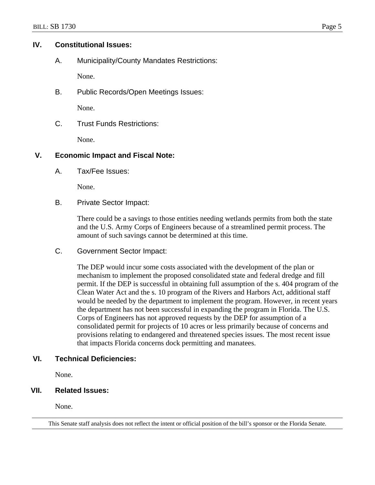#### **IV. Constitutional Issues:**

A. Municipality/County Mandates Restrictions:

None.

B. Public Records/Open Meetings Issues:

None.

C. Trust Funds Restrictions:

None.

# **V. Economic Impact and Fiscal Note:**

A. Tax/Fee Issues:

None.

B. Private Sector Impact:

There could be a savings to those entities needing wetlands permits from both the state and the U.S. Army Corps of Engineers because of a streamlined permit process. The amount of such savings cannot be determined at this time.

C. Government Sector Impact:

The DEP would incur some costs associated with the development of the plan or mechanism to implement the proposed consolidated state and federal dredge and fill permit. If the DEP is successful in obtaining full assumption of the s. 404 program of the Clean Water Act and the s. 10 program of the Rivers and Harbors Act, additional staff would be needed by the department to implement the program. However, in recent years the department has not been successful in expanding the program in Florida. The U.S. Corps of Engineers has not approved requests by the DEP for assumption of a consolidated permit for projects of 10 acres or less primarily because of concerns and provisions relating to endangered and threatened species issues. The most recent issue that impacts Florida concerns dock permitting and manatees.

## **VI. Technical Deficiencies:**

None.

## **VII. Related Issues:**

None.

This Senate staff analysis does not reflect the intent or official position of the bill's sponsor or the Florida Senate.